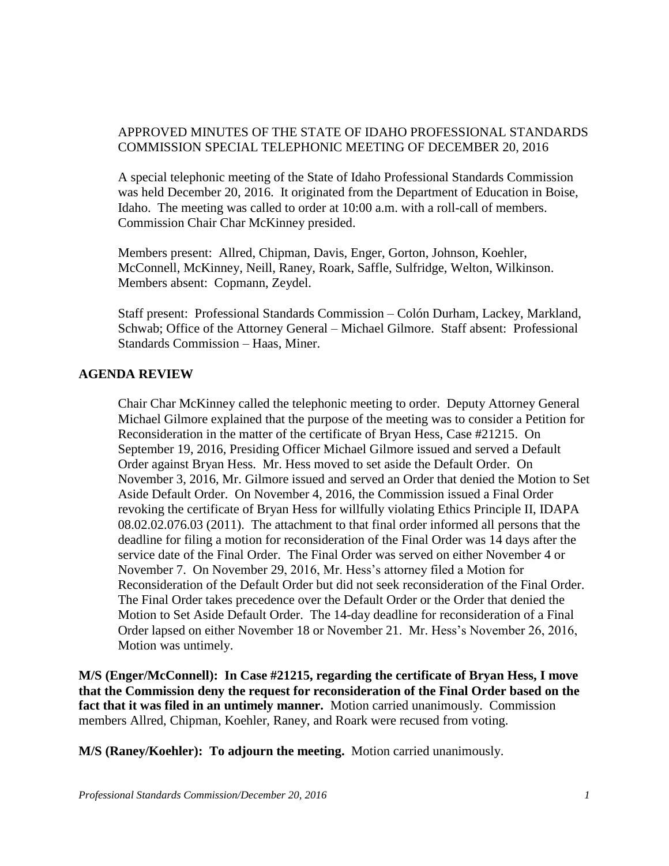## APPROVED MINUTES OF THE STATE OF IDAHO PROFESSIONAL STANDARDS COMMISSION SPECIAL TELEPHONIC MEETING OF DECEMBER 20, 2016

A special telephonic meeting of the State of Idaho Professional Standards Commission was held December 20, 2016. It originated from the Department of Education in Boise, Idaho. The meeting was called to order at 10:00 a.m. with a roll-call of members. Commission Chair Char McKinney presided.

Members present: Allred, Chipman, Davis, Enger, Gorton, Johnson, Koehler, McConnell, McKinney, Neill, Raney, Roark, Saffle, Sulfridge, Welton, Wilkinson. Members absent: Copmann, Zeydel.

Staff present: Professional Standards Commission – Colón Durham, Lackey, Markland, Schwab; Office of the Attorney General – Michael Gilmore. Staff absent: Professional Standards Commission – Haas, Miner.

## **AGENDA REVIEW**

Chair Char McKinney called the telephonic meeting to order. Deputy Attorney General Michael Gilmore explained that the purpose of the meeting was to consider a Petition for Reconsideration in the matter of the certificate of Bryan Hess, Case #21215. On September 19, 2016, Presiding Officer Michael Gilmore issued and served a Default Order against Bryan Hess. Mr. Hess moved to set aside the Default Order. On November 3, 2016, Mr. Gilmore issued and served an Order that denied the Motion to Set Aside Default Order. On November 4, 2016, the Commission issued a Final Order revoking the certificate of Bryan Hess for willfully violating Ethics Principle II, IDAPA 08.02.02.076.03 (2011). The attachment to that final order informed all persons that the deadline for filing a motion for reconsideration of the Final Order was 14 days after the service date of the Final Order. The Final Order was served on either November 4 or November 7. On November 29, 2016, Mr. Hess's attorney filed a Motion for Reconsideration of the Default Order but did not seek reconsideration of the Final Order. The Final Order takes precedence over the Default Order or the Order that denied the Motion to Set Aside Default Order. The 14-day deadline for reconsideration of a Final Order lapsed on either November 18 or November 21. Mr. Hess's November 26, 2016, Motion was untimely.

**M/S (Enger/McConnell): In Case #21215, regarding the certificate of Bryan Hess, I move that the Commission deny the request for reconsideration of the Final Order based on the fact that it was filed in an untimely manner.** Motion carried unanimously. Commission members Allred, Chipman, Koehler, Raney, and Roark were recused from voting.

**M/S (Raney/Koehler): To adjourn the meeting.** Motion carried unanimously.